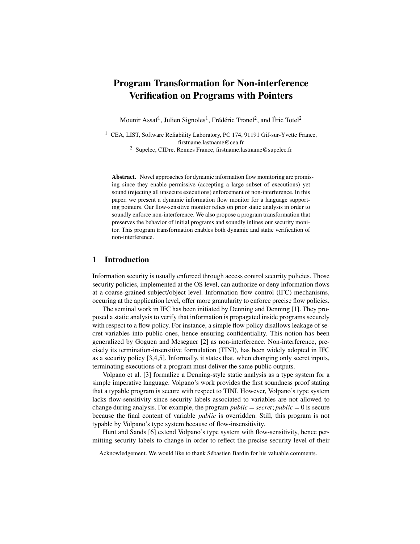# Program Transformation for Non-interference Verification on Programs with Pointers

Mounir Assaf<sup>1</sup>, Julien Signoles<sup>1</sup>, Frédéric Tronel<sup>2</sup>, and Éric Totel<sup>2</sup>

<sup>1</sup> CEA, LIST, Software Reliability Laboratory, PC 174, 91191 Gif-sur-Yvette France, firstname.lastname@cea.fr

<sup>2</sup> Supelec, CIDre, Rennes France, firstname.lastname@supelec.fr

Abstract. Novel approaches for dynamic information flow monitoring are promising since they enable permissive (accepting a large subset of executions) yet sound (rejecting all unsecure executions) enforcement of non-interference. In this paper, we present a dynamic information flow monitor for a language supporting pointers. Our flow-sensitive monitor relies on prior static analysis in order to soundly enforce non-interference. We also propose a program transformation that preserves the behavior of initial programs and soundly inlines our security monitor. This program transformation enables both dynamic and static verification of non-interference.

# 1 Introduction

Information security is usually enforced through access control security policies. Those security policies, implemented at the OS level, can authorize or deny information flows at a coarse-grained subject/object level. Information flow control (IFC) mechanisms, occuring at the application level, offer more granularity to enforce precise flow policies.

The seminal work in IFC has been initiated by Denning and Denning [1]. They proposed a static analysis to verify that information is propagated inside programs securely with respect to a flow policy. For instance, a simple flow policy disallows leakage of secret variables into public ones, hence ensuring confidentiality. This notion has been generalized by Goguen and Meseguer [2] as non-interference. Non-interference, precisely its termination-insensitive formulation (TINI), has been widely adopted in IFC as a security policy [3,4,5]. Informally, it states that, when changing only secret inputs, terminating executions of a program must deliver the same public outputs.

Volpano et al. [3] formalize a Denning-style static analysis as a type system for a simple imperative language. Volpano's work provides the first soundness proof stating that a typable program is secure with respect to TINI. However, Volpano's type system lacks flow-sensitivity since security labels associated to variables are not allowed to change during analysis. For example, the program *public* = *secret*; *public* = 0 is secure because the final content of variable *public* is overridden. Still, this program is not typable by Volpano's type system because of flow-insensitivity.

Hunt and Sands [6] extend Volpano's type system with flow-sensitivity, hence permitting security labels to change in order to reflect the precise security level of their

Acknowledgement. We would like to thank Sébastien Bardin for his valuable comments.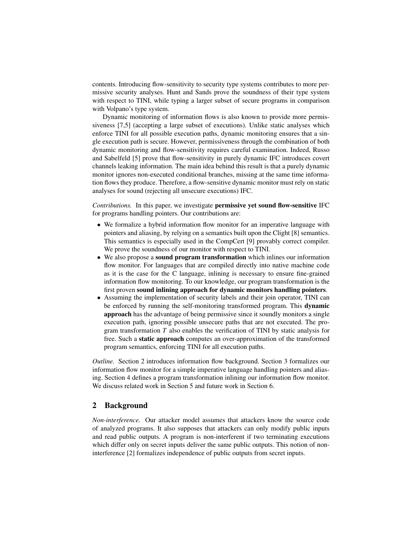contents. Introducing flow-sensitivity to security type systems contributes to more permissive security analyses. Hunt and Sands prove the soundness of their type system with respect to TINI, while typing a larger subset of secure programs in comparison with Volpano's type system.

Dynamic monitoring of information flows is also known to provide more permissiveness [7,5] (accepting a large subset of executions). Unlike static analyses which enforce TINI for all possible execution paths, dynamic monitoring ensures that a single execution path is secure. However, permissiveness through the combination of both dynamic monitoring and flow-sensitivity requires careful examination. Indeed, Russo and Sabelfeld [5] prove that flow-sensitivity in purely dynamic IFC introduces covert channels leaking information. The main idea behind this result is that a purely dynamic monitor ignores non-executed conditional branches, missing at the same time information flows they produce. Therefore, a flow-sensitive dynamic monitor must rely on static analyses for sound (rejecting all unsecure executions) IFC.

*Contributions.* In this paper, we investigate permissive yet sound flow-sensitive IFC for programs handling pointers. Our contributions are:

- We formalize a hybrid information flow monitor for an imperative language with pointers and aliasing, by relying on a semantics built upon the Clight [8] semantics. This semantics is especially used in the CompCert [9] provably correct compiler. We prove the soundness of our monitor with respect to TINI.
- We also propose a **sound program transformation** which inlines our information flow monitor. For languages that are compiled directly into native machine code as it is the case for the C language, inlining is necessary to ensure fine-grained information flow monitoring. To our knowledge, our program transformation is the first proven sound inlining approach for dynamic monitors handling pointers.
- Assuming the implementation of security labels and their join operator, TINI can be enforced by running the self-monitoring transformed program. This dynamic approach has the advantage of being permissive since it soundly monitors a single execution path, ignoring possible unsecure paths that are not executed. The program transformation *T* also enables the verification of TINI by static analysis for free. Such a static approach computes an over-approximation of the transformed program semantics, enforcing TINI for all execution paths.

*Outline.* Section 2 introduces information flow background. Section 3 formalizes our information flow monitor for a simple imperative language handling pointers and aliasing. Section 4 defines a program transformation inlining our information flow monitor. We discuss related work in Section 5 and future work in Section 6.

# 2 Background

*Non-interference.* Our attacker model assumes that attackers know the source code of analyzed programs. It also supposes that attackers can only modify public inputs and read public outputs. A program is non-interferent if two terminating executions which differ only on secret inputs deliver the same public outputs. This notion of noninterference [2] formalizes independence of public outputs from secret inputs.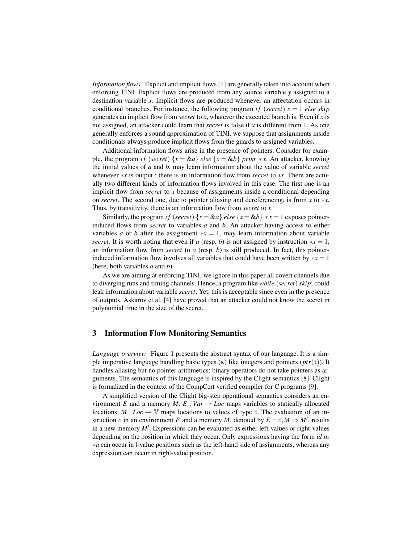*Information flows.* Explicit and implicit flows [1] are generally taken into account when enforcing TINI. Explicit flows are produced from any source variable *y* assigned to a destination variable *x*. Implicit flows are produced whenever an affectation occurs in conditional branches. For instance, the following program *if* (*secret*)  $x = 1$  *else skip* generates an implicit flow from *secret* to *x*, whatever the executed branch is. Even if *x* is not assigned, an attacker could learn that *secret* is false if *x* is different from 1. As one generally enforces a sound approximation of TINI, we suppose that assignments inside conditionals always produce implicit flows from the guards to assigned variables.

Additional information flows arise in the presence of pointers. Consider for example, the program *if* (*secret*) { $x = \&a$ } *else* { $x = \&b$ } *print* \* *x*. An attacker, knowing the initial values of *a* and *b*, may learn information about the value of variable *secret* whenever ∗*x* is output : there is an information flow from *secret* to ∗*x*. There are actually two different kinds of information flows involved in this case. The first one is an implicit flow from *secret* to *x* because of assignments inside a conditional depending on *secret*. The second one, due to pointer aliasing and dereferencing, is from *x* to ∗*x*. Thus, by transitivity, there is an information flow from *secret* to *x*.

Similarly, the program *if* (*secret*)  $\{x = \&a\}$  *else*  $\{x = \&b\} * x = 1$  exposes pointerinduced flows from *secret* to variables *a* and *b*. An attacker having access to either variables *a* or *b* after the assignment  $*x = 1$ , may learn information about variable *secret*. It is worth noting that even if *a* (resp. *b*) is not assigned by instruction  $*x = 1$ , an information flow from *secret* to *a* (resp. *b*) is still produced. In fact, this pointerinduced information flow involves all variables that could have been written by  $*x = 1$ (here, both variables *a* and *b*).

As we are aiming at enforcing TINI, we ignore in this paper all covert channels due to diverging runs and timing channels. Hence, a program like *while* (*secret*) *skip*; could leak information about variable *secret*. Yet, this is acceptable since even in the presence of outputs, Askarov et al. [4] have proved that an attacker could not know the secret in polynomial time in the size of the secret.

# 3 Information Flow Monitoring Semantics

*Language overview.* Figure 1 presents the abstract syntax of our language. It is a simple imperative language handling basic types (κ) like integers and pointers (*ptr*(τ)). It handles aliasing but no pointer arithmetics: binary operators do not take pointers as arguments. The semantics of this language is inspired by the Clight semantics [8]. Clight is formalized in the context of the CompCert verified compiler for C programs [9].

A simplified version of the Clight big-step operational semantics considers an environment *E* and a memory *M*. *E* : *Var*  $\rightarrow$  *Loc* maps variables to statically allocated locations. *M* : *Loc*  $\rightarrow$  V maps locations to values of type  $\tau$ . The evaluation of an instruction *c* in an environment *E* and a memory *M*, denoted by  $E \vdash c, M \Rightarrow M'$ , results in a new memory  $M'$ . Expressions can be evaluated as either left-values or right-values depending on the position in which they occur. Only expressions having the form *id* or ∗*a* can occur in l-value positions such as the left-hand side of assignments, whereas any expression can occur in right-value position.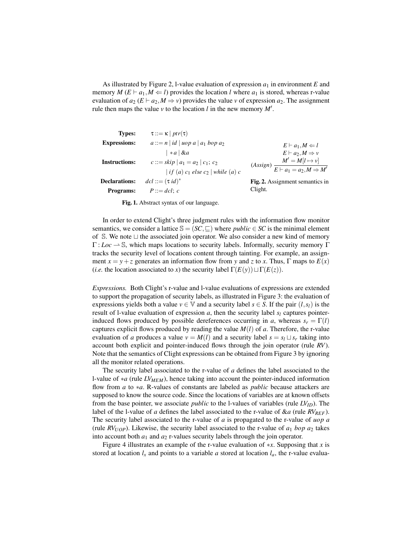As illustrated by Figure 2, 1-value evaluation of expression  $a_1$  in environment *E* and memory *M* ( $E \vdash a_1, M \Leftarrow l$ ) provides the location *l* where  $a_1$  is stored, whereas r-value evaluation of  $a_2$  ( $E \vdash a_2, M \Rightarrow v$ ) provides the value *v* of expression  $a_2$ . The assignment rule then maps the value  $\nu$  to the location  $l$  in the new memory  $M'$ .

| <b>Types:</b>        | $\tau ::= \kappa   ptr(\tau)$                                                                                                |                                                                             |
|----------------------|------------------------------------------------------------------------------------------------------------------------------|-----------------------------------------------------------------------------|
| <b>Expressions:</b>  | $a ::= n   id   uop a   a1 bop a2$                                                                                           | $E \vdash a_1, M \Leftarrow l$                                              |
|                      | $ *a $ & a                                                                                                                   | $E \vdash a_2, M \Rightarrow v$                                             |
| <b>Instructions:</b> | $c ::= skip \mid a_1 = a_2 \mid c_1; c_2$                                                                                    | $(Assign) \frac{M' = M[l \mapsto v]}{E \vdash a_1 = a_2, M \Rightarrow M'}$ |
|                      | $\left  \text{ if }(a) \text{ } c_1 \text{ } \text{ } \text{ } e \text{ } \text{ } c_2 \right  \text{ while }(a) \text{ } c$ |                                                                             |
| <b>Declarations:</b> | $dcl ::= (\tau id)^*$                                                                                                        | Fig. 2. Assignment semantics in                                             |
| <b>Programs:</b>     | $P ::= dcl: c$                                                                                                               | Clight.                                                                     |
|                      |                                                                                                                              |                                                                             |

Fig. 1. Abstract syntax of our language.

In order to extend Clight's three judgment rules with the information flow monitor semantics, we consider a lattice  $\mathbb{S} = (SC, \sqsubseteq)$  where *public*  $\in$  *SC* is the minimal element of  $\mathbb{S}$ . We note  $\sqcup$  the associated join operator. We also consider a new kind of memory  $\Gamma: Loc \to \mathbb{S}$ , which maps locations to security labels. Informally, security memory Γ tracks the security level of locations content through tainting. For example, an assignment  $x = y + z$  generates an information flow from y and z to x. Thus,  $\Gamma$  maps to  $E(x)$ (*i.e.* the location associated to *x*) the security label  $\Gamma(E(y)) \sqcup \Gamma(E(z))$ .

*Expressions.* Both Clight's r-value and l-value evaluations of expressions are extended to support the propagation of security labels, as illustrated in Figure 3: the evaluation of expressions yields both a value  $v \in V$  and a security label  $s \in S$ . If the pair  $(l, s_l)$  is the result of 1-value evaluation of expression  $a$ , then the security label  $s_l$  captures pointerinduced flows produced by possible dereferences occurring in *a*, whereas  $s_r = \Gamma(l)$ captures explicit flows produced by reading the value  $M(l)$  of *a*. Therefore, the r-value evaluation of *a* produces a value  $v = M(l)$  and a security label  $s = s_l \sqcup s_r$  taking into account both explicit and pointer-induced flows through the join operator (rule *RV*). Note that the semantics of Clight expressions can be obtained from Figure 3 by ignoring all the monitor related operations.

The security label associated to the r-value of *a* defines the label associated to the l-value of ∗*a* (rule *LVMEM*), hence taking into account the pointer-induced information flow from *a* to ∗*a*. R-values of constants are labeled as *public* because attackers are supposed to know the source code. Since the locations of variables are at known offsets from the base pointer, we associate *public* to the l-values of variables (rule *LVID*). The label of the l-value of *a* defines the label associated to the r-value of &*a* (rule *RVREF*). The security label associated to the r-value of *a* is propagated to the r-value of *uop a* (rule  $RV_{UOP}$ ). Likewise, the security label associated to the r-value of  $a_1$  *bop*  $a_2$  takes into account both  $a_1$  and  $a_2$  r-values security labels through the join operator.

Figure 4 illustrates an example of the r-value evaluation of ∗*x*. Supposing that *x* is stored at location  $l_x$  and points to a variable *a* stored at location  $l_a$ , the r-value evalua-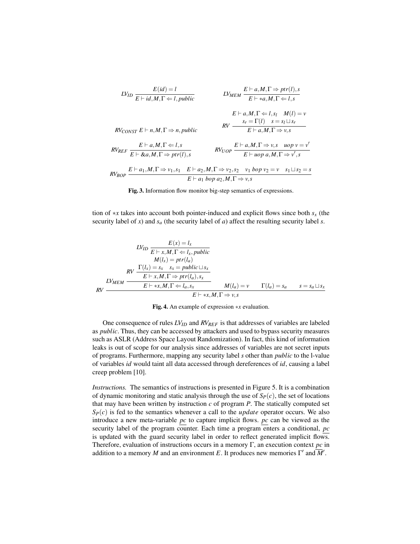$$
LVID \frac{E(id) = l}{E + id, M, \Gamma \Leftarrow l, public} \qquad LVMEM \frac{E + a, M, \Gamma \Rightarrow ptr(l), s}{E + *a, M, \Gamma \Leftarrow l, s}
$$
  

$$
E \vdash a, M, \Gamma \Leftarrow l, s_l \quad M(l) = v
$$
  

$$
RV_{CONST} E \vdash n, M, \Gamma \Rightarrow n, public \qquad RV \frac{s_r = \Gamma(l) \quad s = s_l \sqcup s_r}{E + a, M, \Gamma \Rightarrow v, s}
$$
  

$$
RV_{REF} \frac{E + a, M, \Gamma \Leftarrow l, s}{E + \&a, M, \Gamma \Rightarrow ptr(l), s} \qquad RV_{UOP} \frac{E + a, M, \Gamma \Rightarrow v, s \quad uop \quad v = v'}{E + uop a, M, \Gamma \Rightarrow v', s}
$$
  

$$
RV_{BOP} \frac{E + a_1, M, \Gamma \Rightarrow v_1, s_1 \quad E + a_2, M, \Gamma \Rightarrow v_2, s_2 \quad v_1 \, loop \, v_2 = v \quad s_1 \sqcup s_2 = s}{\Gamma(\frac{1}{2})}
$$

$$
F = \frac{E + a_1 b_1 b_2 + \cdots + a_n b_n}{E + a_1 b_1 b_2 a_3 M_1 \cdots + a_n b_n}
$$

Fig. 3. Information flow monitor big-step semantics of expressions.

tion of ∗*x* takes into account both pointer-induced and explicit flows since both *s<sup>x</sup>* (the security label of *x*) and *s<sup>a</sup>* (the security label of *a*) affect the resulting security label *s*.

$$
LV_{ID} \frac{E(x) = l_x}{E \vdash x, M, \Gamma \Leftarrow l_x, public}
$$
  
\n
$$
M(l_x) = ptr(l_a)
$$
  
\n
$$
RV \frac{\Gamma(l_x) = s_x \quad s_x = public \sqcup s_x}{E \vdash x, M, \Gamma \Rightarrow ptr(l_a), s_x}
$$
  
\n
$$
RV \frac{LV_{MEM} \qquad E \vdash x, M, \Gamma \Leftarrow l_a, s_x}{E \vdash x, M, \Gamma \Leftarrow l_a, s_x} \qquad M(l_a) = v \qquad \Gamma(l_a) = s_a \qquad s = s_a \sqcup s_x
$$
  
\n
$$
E \vdash x, M, \Gamma \Rightarrow v, s
$$

Fig. 4. An example of expression ∗*x* evaluation.

One consequence of rules *LVID* and *RVREF* is that addresses of variables are labeled as *public*. Thus, they can be accessed by attackers and used to bypass security measures such as ASLR (Address Space Layout Randomization). In fact, this kind of information leaks is out of scope for our analysis since addresses of variables are not secret inputs of programs. Furthermore, mapping any security label *s* other than *public* to the l-value of variables *id* would taint all data accessed through dereferences of *id*, causing a label creep problem [10].

*Instructions.* The semantics of instructions is presented in Figure 5. It is a combination of dynamic monitoring and static analysis through the use of  $S_P(c)$ , the set of locations that may have been written by instruction  $c$  of program  $P$ . The statically computed set  $S_P(c)$  is fed to the semantics whenever a call to the *update* operator occurs. We also introduce a new meta-variable *pc* to capture implicit flows. *pc* can be viewed as the security label of the program counter. Each time a program enters a conditional, *pc* is updated with the guard security label in order to reflect generated implicit flows. Therefore, evaluation of instructions occurs in a memory Γ, an execution context *pc* in addition to a memory *M* and an environment *E*. It produces new memories  $\Gamma'$  and  $\overline{M}'$ .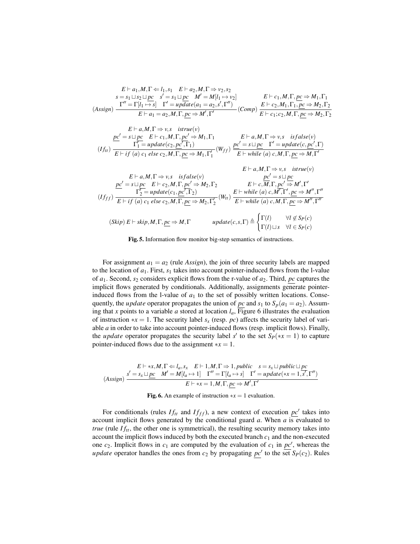$$
E \vdash a_1, M, \Gamma \Leftarrow l_1, s_1 \quad E \vdash a_2, M, \Gamma \Rightarrow v_2, s_2
$$
\n
$$
s = s_1 \sqcup s_2 \sqcup pc \quad s' = s_1 \sqcup pc \quad M' = M[l_1 \mapsto v_2] \quad E \vdash c_1, M, \Gamma, pc \Rightarrow M_1, \Gamma_1
$$
\n
$$
(Assign) \frac{\Gamma'' = \Gamma[l_1 \mapsto s] \quad \Gamma' = update(a_1 = a_2, s', \Gamma'')}{E \vdash a_1 = a_2, M, \Gamma, pc \Rightarrow M', \Gamma'} \quad (Comp) \frac{E \vdash c_2, M_1, \Gamma_1, pc \Rightarrow M_2, \Gamma_2}{E \vdash c_1; c_2, M, \Gamma, pc \Rightarrow M_2, \Gamma_2}
$$
\n
$$
\frac{E \vdash a, M, \Gamma \Rightarrow v, s \quad is true(v)}{\Gamma_1' = update(c_2, pc', \Gamma_1)} \quad E \vdash a, M, \Gamma \Rightarrow v, s \quad is false(v)
$$
\n
$$
(If_{tt}) \frac{\Gamma_1' = update(c_2, pc', \Gamma_1)}{\Gamma_1' = update(c_2, pc', \Gamma_1)} \quad E \vdash while (a) c, M, \Gamma, pc \Rightarrow M, \Gamma' \quad E \vdash a, M, \Gamma \Rightarrow v, s \quad is false(v)}
$$
\n
$$
E \vdash a, M, \Gamma \Rightarrow v, s \quad is false(v)
$$
\n
$$
\frac{E \vdash a, M, \Gamma \Rightarrow v, s \quad is false(v)}{\Gamma_2' = update(c_1, pc', \Gamma_2)} \quad E \vdash while (a) c, M, \Gamma, pc' \Rightarrow M, \Gamma' \quad \Gamma_2' = update(c_1, pc', \Gamma_2)} \quad E \vdash while (a) c, M', \Gamma', pc \Rightarrow M'', \Gamma'' \quad \Gamma_2' = update(c_1, pc', \Gamma_2) \quad (W_{tt}) \quad E \vdash while (a) c, M, \Gamma, pc \Rightarrow M'', \Gamma'' \quad (Skip) \quad E \vdash skip, M, \Gamma, pc \Rightarrow M, \Gamma \quad update(c, s, \Gamma) \triangleq \begin{cases} \Gamma(l) & \forall l \notin Sp(c) \\ \Gamma(l) \sqcup s \quad \forall l \in Sp(c) \end{cases} \end{cases}
$$

Fig. 5. Information flow monitor big-step semantics of instructions.

For assignment  $a_1 = a_2$  (rule *Assign*), the join of three security labels are mapped to the location of *a*1. First, *s*<sup>1</sup> takes into account pointer-induced flows from the l-value of *a*1. Second, *s*<sup>2</sup> considers explicit flows from the r-value of *a*2. Third, *pc* captures the implicit flows generated by conditionals. Additionally, assignments generate pointerinduced flows from the l-value of  $a_1$  to the set of possibly written locations. Consequently, the *update* operator propagates the union of *pc* and  $s_1$  to  $S_p(a_1 = a_2)$ . Assuming that *x* points to a variable *a* stored at location  $l_a$ , Figure 6 illustrates the evaluation of instruction  $*x = 1$ . The security label  $s_x$  (resp. *pc*) affects the security label of variable *a* in order to take into account pointer-induced flows (resp. implicit flows). Finally, the *update* operator propagates the security label *s'* to the set  $S_P(*x = 1)$  to capture pointer-induced flows due to the assignment  $*x = 1$ .

$$
E \vdash *x, M, \Gamma \Leftarrow l_a, s_x \quad E \vdash 1, M, \Gamma \Rightarrow 1, public \quad s = s_x \sqcup public \sqcup pc
$$
  

$$
(Assign) \quad \frac{s' = s_x \sqcup pc \quad M' = M[l_a \mapsto 1] \quad \Gamma'' = \Gamma[l_a \mapsto s] \quad \Gamma' = update(*x = 1, s', \Gamma'')
$$
  

$$
E \vdash *x = 1, M, \Gamma, pc \Rightarrow M', \Gamma'
$$

Fig. 6. An example of instruction  $*x = 1$  evaluation.

For conditionals (rules  $If_{tt}$  and  $If_{ff}$ ), a new context of execution  $pc'$  takes into account implicit flows generated by the conditional guard *a*. When *a* is evaluated to *true* (rule  $If_{tt}$ , the other one is symmetrical), the resulting security memory takes into account the implicit flows induced by both the executed branch  $c_1$  and the non-executed one  $c_2$ . Implicit flows in  $c_1$  are computed by the evaluation of  $c_1$  in  $pc'$ , whereas the *update* operator handles the ones from  $c_2$  by propagating  $pc'$  to the set  $S_P(c_2)$ . Rules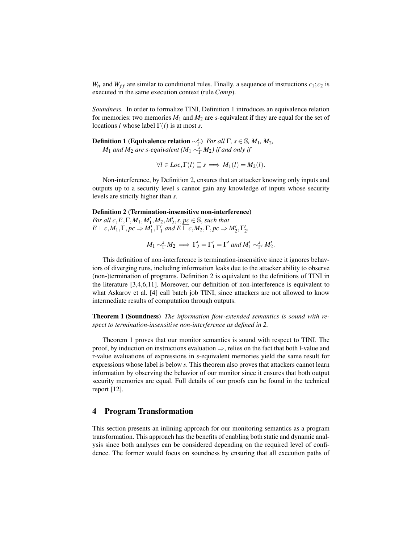$W_{tt}$  and  $W_{ff}$  are similar to conditional rules. Finally, a sequence of instructions  $c_1$ ;  $c_2$  is executed in the same execution context (rule *Comp*).

*Soundness.* In order to formalize TINI, Definition 1 introduces an equivalence relation for memories: two memories  $M_1$  and  $M_2$  are *s*-equivalent if they are equal for the set of locations *l* whose label  $\Gamma(l)$  is at most *s*.

# **Definition 1 (Equivalence relation**  $\sim_{\Gamma}^{s}$ ) *For all* Γ*, s* ∈ *S, M*<sub>1</sub>*, M*<sub>2</sub>*,*

 $M_1$  *and*  $M_2$  *are s-equivalent* ( $M_1 \sim^s_\Gamma M_2$ ) *if and only if* 

$$
\forall l \in Loc, \Gamma(l) \sqsubseteq s \implies M_1(l) = M_2(l).
$$

Non-interference, by Definition 2, ensures that an attacker knowing only inputs and outputs up to a security level *s* cannot gain any knowledge of inputs whose security levels are strictly higher than *s*.

#### Definition 2 (Termination-insensitive non-interference)

*For all c*,*E*, $\Gamma$ , $M_1$ , $M'_1$ , $M_2$ , $M'_2$ , $s$ , $p$ <sub>*c*</sub> $\in$  *S*, *such that*  $E \vdash c, M_1, \Gamma, \underline{pc} \Rightarrow M'_1, \Gamma'_1 \text{ and } E \overline{\vdash} c, M_2, \Gamma, \underline{pc} \Rightarrow M'_2, \Gamma'_2,$ 

$$
M_1 \sim_{\Gamma}^s M_2 \implies \Gamma'_2 = \Gamma'_1 = \Gamma' \text{ and } M'_1 \sim_{\Gamma'}^s M'_2.
$$

This definition of non-interference is termination-insensitive since it ignores behaviors of diverging runs, including information leaks due to the attacker ability to observe (non-)termination of programs. Definition 2 is equivalent to the definitions of TINI in the literature [3,4,6,11]. Moreover, our definition of non-interference is equivalent to what Askarov et al. [4] call batch job TINI, since attackers are not allowed to know intermediate results of computation through outputs.

Theorem 1 (Soundness) *The information flow-extended semantics is sound with respect to termination-insensitive non-interference as defined in 2.*

Theorem 1 proves that our monitor semantics is sound with respect to TINI. The proof, by induction on instructions evaluation  $\Rightarrow$ , relies on the fact that both l-value and r-value evaluations of expressions in *s*-equivalent memories yield the same result for expressions whose label is below *s*. This theorem also proves that attackers cannot learn information by observing the behavior of our monitor since it ensures that both output security memories are equal. Full details of our proofs can be found in the technical report [12].

## 4 Program Transformation

This section presents an inlining approach for our monitoring semantics as a program transformation. This approach has the benefits of enabling both static and dynamic analysis since both analyses can be considered depending on the required level of confidence. The former would focus on soundness by ensuring that all execution paths of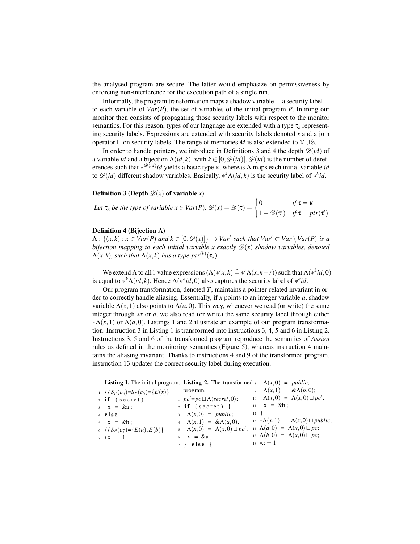the analysed program are secure. The latter would emphasize on permissiveness by enforcing non-interference for the execution path of a single run.

Informally, the program transformation maps a shadow variable —a security label to each variable of *Var*(*P*), the set of variables of the initial program *P*. Inlining our monitor then consists of propagating those security labels with respect to the monitor semantics. For this reason, types of our language are extended with a type  $\tau_s$  representing security labels. Expressions are extended with security labels denoted *s* and a join operator  $\sqcup$  on security labels. The range of memories *M* is also extended to  $\mathbb{V}\cup\mathbb{S}$ .

In order to handle pointers, we introduce in Definitions 3 and 4 the depth  $\mathcal{D}(id)$  of a variable *id* and a bijection  $\Lambda(id, k)$ , with  $k \in [0, \mathcal{D}(id)]$ .  $\mathcal{D}(id)$  is the number of dereferences such that ∗<sup>*⊗*(*id*) *id* yields a basic type κ, whereas Λ maps each initial variable *id*</sup> to  $\mathscr{D}(id)$  different shadow variables. Basically,  $*^{k}\Lambda(id, k)$  is the security label of  $*^{k}id$ .

#### **Definition 3 (Depth**  $\mathscr{D}(x)$  of variable *x*)

Let 
$$
\tau_x
$$
 be the type of variable  $x \in Var(P)$ .  $\mathcal{D}(x) = \mathcal{D}(\tau) = \begin{cases} 0 & \text{if } \tau = \kappa \\ 1 + \mathcal{D}(\tau') & \text{if } \tau = ptr(\tau') \end{cases}$ 

#### Definition 4 (Bijection Λ)

 $\Lambda: \{(x, k) : x \in Var(P) \text{ and } k \in [0, \mathcal{D}(x)]\} \to Var' \text{ such that } Var' \subset Var \setminus Var(P) \text{ is a }$ *bijection mapping to each initial variable x exactly*  $\mathscr{D}(x)$  *shadow variables, denoted*  $\Lambda(x,k)$ *, such that*  $\Lambda(x,k)$  *has a type ptr*<sup> $(k)$ </sup> $(\tau_s)$ *.* 

We extend  $\Lambda$  to all l-value expressions  $(\Lambda(*^r x, k) \triangleq *^r \Lambda(x, k+r))$  such that  $\Lambda(*^k id, 0)$ is equal to  $*^{k}\Lambda(id, k)$ . Hence  $\Lambda(*^{k}id, 0)$  also captures the security label of  $*^{k}id$ .

Our program transformation, denoted *T*, maintains a pointer-related invariant in order to correctly handle aliasing. Essentially, if *x* points to an integer variable *a*, shadow variable  $\Lambda(x,1)$  also points to  $\Lambda(a,0)$ . This way, whenever we read (or write) the same integer through ∗*x* or *a*, we also read (or write) the same security label through either  $\star \Lambda(x,1)$  or  $\Lambda(a,0)$ . Listings 1 and 2 illustrate an example of our program transformation. Instruction 3 in Listing 1 is transformed into instructions 3, 4, 5 and 6 in Listing 2. Instructions 3, 5 and 6 of the transformed program reproduce the semantics of *Assign* rules as defined in the monitoring semantics (Figure 5), whereas instruction 4 maintains the aliasing invariant. Thanks to instructions 4 and 9 of the transformed program, instruction 13 updates the correct security label during execution.

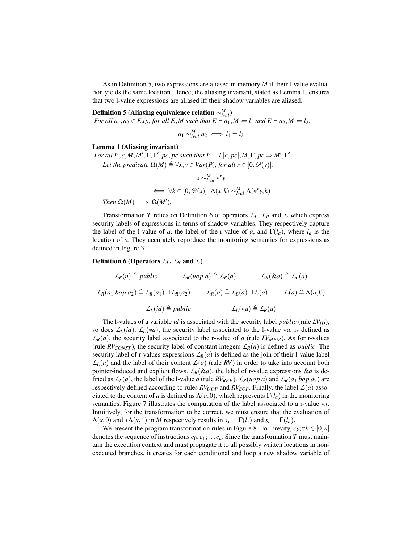As in Definition 5, two expressions are aliased in memory *M* if their l-value evaluation yields the same location. Hence, the aliasing invariant, stated as Lemma 1, ensures that two l-value expressions are aliased iff their shadow variables are aliased.

Definition 5 (Aliasing equivalence relation ∼*<sup>M</sup> lval*) *For all*  $a_1, a_2 \in Exp$ , *for all*  $E, M$  *such that*  $E \vdash a_1, M \Leftarrow l_1$  *and*  $E \vdash a_2, M \Leftarrow l_2$ *.* 

$$
a_1 \sim_{lval}^M a_2 \iff l_1 = l_2
$$

## Lemma 1 (Aliasing invariant)

*For all*  $E, c, M, M', \Gamma, \Gamma', pc, pc$  *such that*  $E \vdash T[c, pc], M, \Gamma, pc \Rightarrow M', \Gamma'.$ *Let the predicate*  $\Omega(M) \triangleq \forall x, y \in Var(P)$ *, for all r*  $\in [0, \mathcal{D}(y)]$ *,* 

$$
x \sim_{Ival}^{M} *^{r} y
$$
  
\n
$$
\iff \forall k \in [0, \mathcal{D}(x)], \Lambda(x, k) \sim_{Ival}^{M} \Lambda(*^{r} y, k)
$$
  
\nThen  $\Omega(M) \implies \Omega(M').$ 

Transformation *T* relies on Definition 6 of operators  $\mathcal{L}_L$ ,  $\mathcal{L}_R$  and  $\mathcal{L}$  which express security labels of expressions in terms of shadow variables. They respectively capture the label of the l-value of *a*, the label of the r-value of *a*, and  $\Gamma(l_a)$ , where  $l_a$  is the location of *a*. They accurately reproduce the monitoring semantics for expressions as defined in Figure 3.

**Definition 6 (Operators**  $L_L$ **,**  $L_R$  **and**  $L$ **)** 

$$
\mathcal{L}_R(n) \triangleq public \qquad \mathcal{L}_R(uop \ a) \triangleq \mathcal{L}_R(a) \qquad \mathcal{L}_R(\&a) \triangleq \mathcal{L}_L(a)
$$
\n
$$
\mathcal{L}_R(a_1 \text{ loop } a_2) \triangleq \mathcal{L}_R(a_1) \sqcup \mathcal{L}_R(a_2) \qquad \mathcal{L}_R(a) \triangleq \mathcal{L}_L(a) \sqcup \mathcal{L}(a) \qquad \mathcal{L}(a) \triangleq \Lambda(a,0)
$$
\n
$$
\mathcal{L}_L(id) \triangleq public \qquad \mathcal{L}_L(*a) \triangleq \mathcal{L}_R(a)
$$

The l-values of a variable *id* is associated with the security label *public* (rule *LVID*), so does  $L_L(id)$ .  $L_L(*a)$ , the security label associated to the l-value  $*a$ , is defined as  $L_R(a)$ , the security label associated to the r-value of *a* (rule *LV<sub>MEM</sub>*). As for r-values (rule *RV<sub>CONST</sub>*), the security label of constant integers  $L_R(n)$  is defined as *public*. The security label of r-values expressions  $L_R(a)$  is defined as the join of their l-value label  $L_L(a)$  and the label of their content  $L(a)$  (rule *RV*) in order to take into account both pointer-induced and explicit flows.  $L_R(\&a)$ , the label of r-value expressions  $\&a$  is defined as  $L_L(a)$ , the label of the l-value *a* (rule *RV<sub>REF</sub>*).  $L_R(u \circ a)$  and  $L_R(a_1 \text{ loop } a_2)$  are respectively defined according to rules  $RV_{UOP}$  and  $RV_{BOP}$ . Finally, the label  $L(a)$  associated to the content of *a* is defined as  $\Lambda(a,0)$ , which represents  $\Gamma(l_a)$  in the monitoring semantics. Figure 7 illustrates the computation of the label associated to a r-value ∗*x*. Intuitively, for the transformation to be correct, we must ensure that the evaluation of  $\Lambda(x,0)$  and  $*\Lambda(x,1)$  in *M* respectively results in  $s_x = \Gamma(l_x)$  and  $s_a = \Gamma(l_a)$ .

We present the program transformation rules in Figure 8. For brevity,  $c_k$ ;  $\forall k \in [0, n]$ denotes the sequence of instructions  $c_0$ ;  $c_1$ ;...  $c_n$ . Since the transformation *T* must maintain the execution context and must propagate it to all possibly written locations in nonexecuted branches, it creates for each conditional and loop a new shadow variable of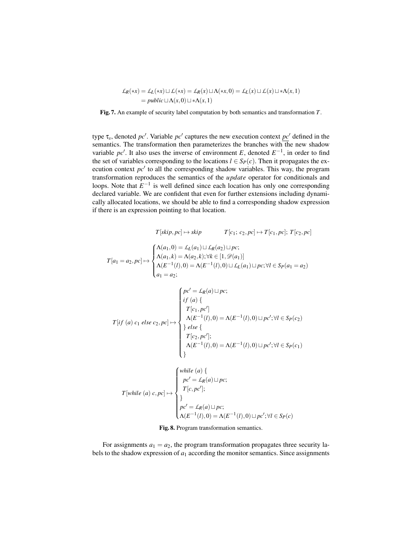$$
\mathcal{L}_R(**x) = \mathcal{L}_L(**x) \sqcup \mathcal{L}(**x) = \mathcal{L}_R(x) \sqcup \Lambda(**x,0) = \mathcal{L}_L(x) \sqcup \mathcal{L}(x) \sqcup * \Lambda(x,1)
$$

$$
= public \sqcup \Lambda(x,0) \sqcup * \Lambda(x,1)
$$

Fig. 7. An example of security label computation by both semantics and transformation *T*.

type  $\tau_s$ , denoted *pc'*. Variable *pc'* captures the new execution context *pc'* defined in the semantics. The transformation then parameterizes the branches with the new shadow variable  $pc'$ . It also uses the inverse of environment *E*, denoted  $E^{-1}$ , in order to find the set of variables corresponding to the locations  $l \in S_P(c)$ . Then it propagates the execution context  $pc'$  to all the corresponding shadow variables. This way, the program transformation reproduces the semantics of the *update* operator for conditionals and loops. Note that  $E^{-1}$  is well defined since each location has only one corresponding declared variable. We are confident that even for further extensions including dynamically allocated locations, we should be able to find a corresponding shadow expression if there is an expression pointing to that location.

$$
T[skip, pc] \mapsto skip \qquad T[c_1; c_2, pc] \mapsto T[c_1, pc]; T[c_2, pc]
$$

$$
T[a_1 = a_2, pc] \mapsto \begin{cases} \Lambda(a_1, 0) = \mathcal{L}_L(a_1) \sqcup \mathcal{L}_R(a_2) \sqcup pc; \\ \Lambda(a_1, k) = \Lambda(a_2, k); \forall k \in [1, \mathcal{D}(a_1)] \\ \Lambda(E^{-1}(l), 0) = \Lambda(E^{-1}(l), 0) \sqcup \mathcal{L}_L(a_1) \sqcup pc; \forall l \in Sp(a_1 = a_2) \\ a_1 = a_2; \end{cases}
$$

$$
T[if (a) c_1 else c_2, pc] \mapsto \begin{cases} pc' = \mathcal{L}_R(a) \sqcup pc; \\ \begin{cases} if (a) \{ \\ T[c_1, pc'] \\ \Lambda(E^{-1}(l), 0) = \Lambda(E^{-1}(l), 0) \sqcup pc'; \forall l \in S_P(c_2) \} \\ \end{cases} \\ else \{ \\ \begin{cases} T[c_2, pc']; \\ \Lambda(E^{-1}(l), 0) = \Lambda(E^{-1}(l), 0) \sqcup pc'; \forall l \in S_P(c_1) \end{cases} \end{cases}
$$

$$
T[while (a) c, pc] \mapsto \begin{cases} while (a) {\n \begin{cases} pc' = \mathcal{L}_R(a) \sqcup pc; \\ T[c, pc']; \\ \n \end{cases}} \\ pc' = \mathcal{L}_R(a) \sqcup pc; \\ pc' = \mathcal{L}_R(a) \sqcup pc; \\ \Lambda(E^{-1}(l), 0) = \Lambda(E^{-1}(l), 0) \sqcup pc'; \forall l \in S_P(c) \end{cases}} \end{cases}
$$

Fig. 8. Program transformation semantics.

For assignments  $a_1 = a_2$ , the program transformation propagates three security labels to the shadow expression of *a*<sup>1</sup> according the monitor semantics. Since assignments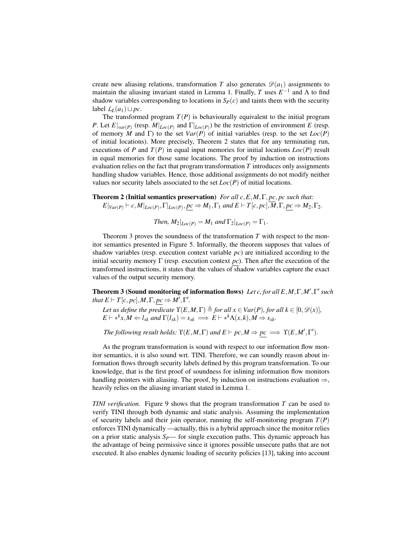create new aliasing relations, transformation *T* also generates  $\mathscr{D}(a_1)$  assignments to maintain the aliasing invariant stated in Lemma 1. Finally, *T* uses *E*<sup>-1</sup> and Λ to find shadow variables corresponding to locations in  $S_P(c)$  and taints them with the security label  $L_l(a_1) \sqcup pc$ .

The transformed program  $T(P)$  is behaviourally equivalent to the initial program *P*. Let  $E|_{var(P)}$  (resp.  $M|_{Loc(P)}$  and  $\Gamma|_{Loc(P)}$ ) be the restriction of environment *E* (resp. of memory  $\hat{M}$  and  $\Gamma$ ) to the set  $Var(P)$  of initial variables (resp. to the set  $Loc(P)$ of initial locations). More precisely, Theorem 2 states that for any terminating run, executions of *P* and  $T(P)$  in equal input memories for initial locations  $Loc(P)$  result in equal memories for those same locations. The proof by induction on instructions evaluation relies on the fact that program transformation *T* introduces only assignments handling shadow variables. Hence, those additional assignments do not modify neither values nor security labels associated to the set  $Loc(P)$  of initial locations.

Theorem 2 (Initial semantics preservation) *For all c*,*E*,*M*,Γ, *pc*, *pc such that:*  $E|_{Var(P)} \vdash c, M|_{Loc(P)}, \Gamma|_{Loc(P)}, pc \Rightarrow M_1, \Gamma_1 \text{ and } E \vdash T[c, pc], M, \Gamma, pc \Rightarrow M_2, \Gamma_2.$ 

*Then,*  $M_2|_{Loc(P)} = M_1$  *and*  $\Gamma_2|_{Loc(P)} = \Gamma_1$ .

Theorem 3 proves the soundness of the transformation *T* with respect to the monitor semantics presented in Figure 5. Informally, the theorem supposes that values of shadow variables (resp. execution context variable *pc*) are initialized according to the initial security memory  $\Gamma$  (resp. execution context *pc*). Then after the execution of the transformed instructions, it states that the values of shadow variables capture the exact values of the output security memory.

Theorem 3 (Sound monitoring of information flows) *Let c, for all E*,*M*,Γ,*M*<sup>0</sup> ,Γ 0 *such that*  $E \vdash T[c, pc], M, \Gamma, pc \Rightarrow M', \Gamma'.$ 

*Let us define the predicate*  $\Upsilon(E, M, \Gamma) \triangleq$  *for all x*  $\in$  *Var*(*P*)*, for all k*  $\in$  [0,  $\mathcal{D}(x)$ ]*,*  $E \vdash *^k x, M \Leftarrow l_{xk} \text{ and } \Gamma(l_{xk}) = s_{xk} \implies E \vdash *^k \Lambda(x, k), M \Rightarrow s_{xk}.$ 

*The following result holds:*  $\Upsilon(E, M, \Gamma)$  *and*  $E \vdash pc, M \Rightarrow pc \implies \Upsilon(E, M', \Gamma').$ 

As the program transformation is sound with respect to our information flow monitor semantics, it is also sound wrt. TINI. Therefore, we can soundly reason about information flows through security labels defined by this program transformation. To our knowledge, that is the first proof of soundness for inlining information flow monitors handling pointers with aliasing. The proof, by induction on instructions evaluation  $\Rightarrow$ , heavily relies on the aliasing invariant stated in Lemma 1.

*TINI verification.* Figure 9 shows that the program transformation *T* can be used to verify TINI through both dynamic and static analysis. Assuming the implementation of security labels and their join operator, running the self-monitoring program  $T(P)$ enforces TINI dynamically —actually, this is a hybrid approach since the monitor relies on a prior static analysis  $S_P$ — for single execution paths. This dynamic approach has the advantage of being permissive since it ignores possible unsecure paths that are not executed. It also enables dynamic loading of security policies [13], taking into account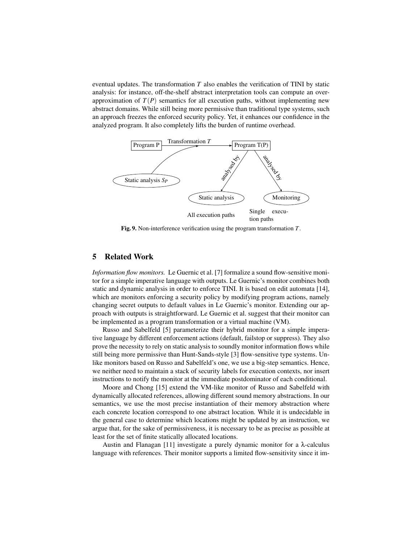eventual updates. The transformation *T* also enables the verification of TINI by static analysis: for instance, off-the-shelf abstract interpretation tools can compute an overapproximation of  $T(P)$  semantics for all execution paths, without implementing new abstract domains. While still being more permissive than traditional type systems, such an approach freezes the enforced security policy. Yet, it enhances our confidence in the analyzed program. It also completely lifts the burden of runtime overhead.



Fig. 9. Non-interference verification using the program transformation *T*.

# 5 Related Work

*Information flow monitors.* Le Guernic et al. [7] formalize a sound flow-sensitive monitor for a simple imperative language with outputs. Le Guernic's monitor combines both static and dynamic analysis in order to enforce TINI. It is based on edit automata [14], which are monitors enforcing a security policy by modifying program actions, namely changing secret outputs to default values in Le Guernic's monitor. Extending our approach with outputs is straightforward. Le Guernic et al. suggest that their monitor can be implemented as a program transformation or a virtual machine (VM).

Russo and Sabelfeld [5] parameterize their hybrid monitor for a simple imperative language by different enforcement actions (default, failstop or suppress). They also prove the necessity to rely on static analysis to soundly monitor information flows while still being more permissive than Hunt-Sands-style [3] flow-sensitive type systems. Unlike monitors based on Russo and Sabelfeld's one, we use a big-step semantics. Hence, we neither need to maintain a stack of security labels for execution contexts, nor insert instructions to notify the monitor at the immediate postdominator of each conditional.

Moore and Chong [15] extend the VM-like monitor of Russo and Sabelfeld with dynamically allocated references, allowing different sound memory abstractions. In our semantics, we use the most precise instantiation of their memory abstraction where each concrete location correspond to one abstract location. While it is undecidable in the general case to determine which locations might be updated by an instruction, we argue that, for the sake of permissiveness, it is necessary to be as precise as possible at least for the set of finite statically allocated locations.

Austin and Flanagan [11] investigate a purely dynamic monitor for a λ-calculus language with references. Their monitor supports a limited flow-sensitivity since it im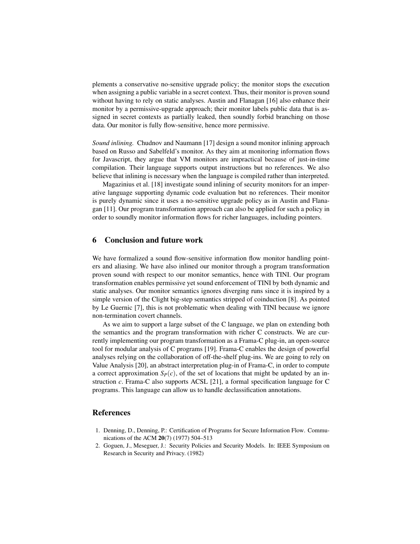plements a conservative no-sensitive upgrade policy; the monitor stops the execution when assigning a public variable in a secret context. Thus, their monitor is proven sound without having to rely on static analyses. Austin and Flanagan [16] also enhance their monitor by a permissive-upgrade approach; their monitor labels public data that is assigned in secret contexts as partially leaked, then soundly forbid branching on those data. Our monitor is fully flow-sensitive, hence more permissive.

*Sound inlining.* Chudnov and Naumann [17] design a sound monitor inlining approach based on Russo and Sabelfeld's monitor. As they aim at monitoring information flows for Javascript, they argue that VM monitors are impractical because of just-in-time compilation. Their language supports output instructions but no references. We also believe that inlining is necessary when the language is compiled rather than interpreted.

Magazinius et al. [18] investigate sound inlining of security monitors for an imperative language supporting dynamic code evaluation but no references. Their monitor is purely dynamic since it uses a no-sensitive upgrade policy as in Austin and Flanagan [11]. Our program transformation approach can also be applied for such a policy in order to soundly monitor information flows for richer languages, including pointers.

# 6 Conclusion and future work

We have formalized a sound flow-sensitive information flow monitor handling pointers and aliasing. We have also inlined our monitor through a program transformation proven sound with respect to our monitor semantics, hence with TINI. Our program transformation enables permissive yet sound enforcement of TINI by both dynamic and static analyses. Our monitor semantics ignores diverging runs since it is inspired by a simple version of the Clight big-step semantics stripped of coinduction [8]. As pointed by Le Guernic [7], this is not problematic when dealing with TINI because we ignore non-termination covert channels.

As we aim to support a large subset of the C language, we plan on extending both the semantics and the program transformation with richer C constructs. We are currently implementing our program transformation as a Frama-C plug-in, an open-source tool for modular analysis of C programs [19]. Frama-C enables the design of powerful analyses relying on the collaboration of off-the-shelf plug-ins. We are going to rely on Value Analysis [20], an abstract interpretation plug-in of Frama-C, in order to compute a correct approximation  $S_P(c)$ , of the set of locations that might be updated by an instruction *c*. Frama-C also supports ACSL [21], a formal specification language for C programs. This language can allow us to handle declassification annotations.

## **References**

- 1. Denning, D., Denning, P.: Certification of Programs for Secure Information Flow. Communications of the ACM 20(7) (1977) 504–513
- 2. Goguen, J., Meseguer, J.: Security Policies and Security Models. In: IEEE Symposium on Research in Security and Privacy. (1982)